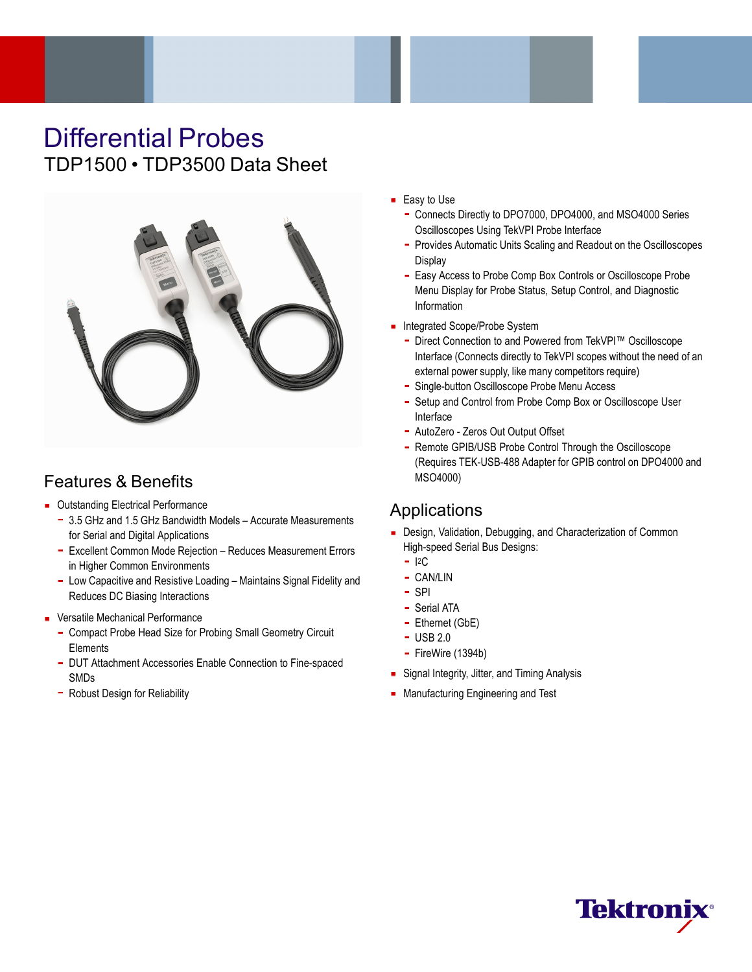# Differential Probes TDP1500 • TDP3500 Data Sheet



## Features & Benefits

- **Dutstanding Electrical Performance** 
	- 3.5 GHz and 1.5 GHz Bandwidth Models Accurate Measurements for Serial and Digital Applications
	- Excellent Common Mode Rejection Reduces Measurement Errors in Higher Common Environments
	- Low Capacitive and Resistive Loading Maintains Signal Fidelity and Reduces DC Biasing Interactions
- **Versatile Mechanical Performance** 
	- Compact Probe Head Size for Probing Small Geometry Circuit **Elements**
	- DUT Attachment Accessories Enable Connection to Fine-spaced SMDs
	- Robust Design for Reliability
- Easy to Use
	- Connects Directly to DPO7000, DPO4000, and MSO4000 Series Oscilloscopes Using TekVPI Probe Interface
	- $\blacksquare$ Provides Automatic Units Scaling and Readout on the Oscilloscopes **Display**
	- Easy Access to Probe Comp Box Controls or Oscilloscope Probe Menu Display for Probe Status, Setup Control, and Diagnostic Information
- Integrated Scope/Probe System
	- $\blacksquare$ Direct Connection to and Powered from TekVPI™ Oscilloscope Interface (Connects directly to TekVPI scopes without the need of an external power supply, like many competitors require)
	- Single-button Oscilloscope Probe Menu Access
	- Setup and Control from Probe Comp Box or Oscilloscope User Interface
	- AutoZero Zeros Out Output Offset
	- Remote GPIB/USB Probe Control Through the Oscilloscope (Requires TEK-USB-488 Adapter for GPIB control on DPO4000 and MSO4000)

## Applications

- Design, Validation, Debugging, and Characterization of Common High-speed Serial Bus Designs:
	- $-$  I<sup>2</sup>C
	- CAN/LIN
	- $-$  SPI
	- Serial ATA
	- Ethernet (GbE)
	- USB 2.0
	- FireWire (1394b)
- **Signal Integrity, Jitter, and Timing Analysis**
- **Manufacturing Engineering and Test**

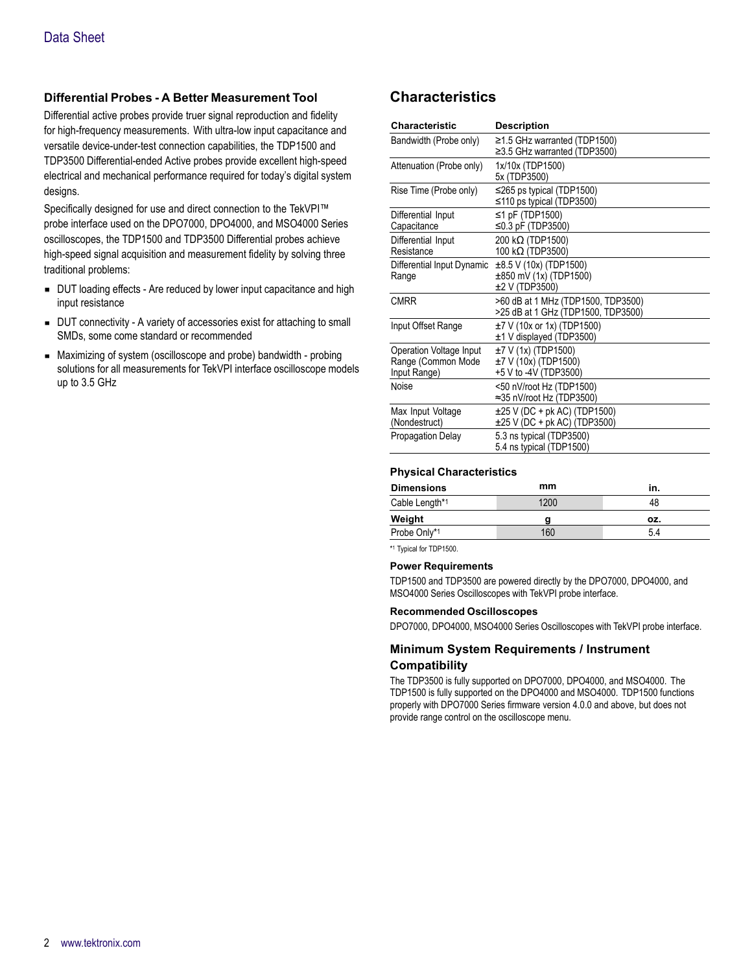### **Differential Probes - A Better Measurement Tool**

Differential active probes provide truer signal reproduction and fidelity for high-frequency measurements. With ultra-low input capacitance and versatile device-under-test connection capabilities, the TDP1500 and TDP3500 Differential-ended Active probes provide excellent high-speed electrical and mechanical performance required for today's digital system designs.

Specifically designed for use and direct connection to the TekVPI™ probe interface used on the DPO7000, DPO4000, and MSO4000 Series oscilloscopes, the TDP1500 and TDP3500 Differential probes achieve high-speed signal acquisition and measurement fidelity by solving three traditional problems:

- DUT loading effects Are reduced by lower input capacitance and high input resistance
- DUT connectivity A variety of accessories exist for attaching to small SMDs, some come standard or recommended
- Maximizing of system (oscilloscope and probe) bandwidth probing solutions for all measurements for TekVPI interface oscilloscope models up to 3.5 GHz

## **Characteristics**

| Characteristic                                                | <b>Description</b>                                                             |
|---------------------------------------------------------------|--------------------------------------------------------------------------------|
| Bandwidth (Probe only)                                        | $\geq$ 1.5 GHz warranted (TDP1500)<br>$\geq$ 3.5 GHz warranted (TDP3500)       |
| Attenuation (Probe only)                                      | 1x/10x (TDP1500)<br>5x (TDP3500)                                               |
| Rise Time (Probe only)                                        | $\leq$ 265 ps typical (TDP1500)<br>≤110 ps typical (TDP3500)                   |
| Differential Input<br>Capacitance                             | $\leq$ 1 pF (TDP1500)<br>≤0.3 pF (TDP3500)                                     |
| Differential Input<br>Resistance                              | 200 kΩ (TDP1500)<br>100 kΩ (TDP3500)                                           |
| Differential Input Dynamic<br>Range                           | $\pm 8.5$ V (10x) (TDP1500)<br>$\pm 850$ mV (1x) (TDP1500)<br>$±2$ V (TDP3500) |
| <b>CMRR</b>                                                   | >60 dB at 1 MHz (TDP1500, TDP3500)<br>>25 dB at 1 GHz (TDP1500, TDP3500)       |
| Input Offset Range                                            | $±7$ V (10x or 1x) (TDP1500)<br>±1 V displayed (TDP3500)                       |
| Operation Voltage Input<br>Range (Common Mode<br>Input Range) | $±7$ V (1x) (TDP1500)<br>$±7$ V (10x) (TDP1500)<br>+5 V to -4V (TDP3500)       |
| Noise                                                         | <50 nV/root Hz (TDP1500)<br>≈35 nV/root Hz (TDP3500)                           |
| Max Input Voltage<br>(Nondestruct)                            | $\pm 25$ V (DC + pk AC) (TDP1500)<br>$\pm 25$ V (DC + pk AC) (TDP3500)         |
| <b>Propagation Delay</b>                                      | 5.3 ns typical (TDP3500)<br>5.4 ns typical (TDP1500)                           |

#### **Physical Characteristics**

| <b>Dimensions</b> | mm   | in. |
|-------------------|------|-----|
| Cable Length*1    | 1200 | 48  |
|                   |      |     |
| Weight            |      | OZ. |
|                   |      |     |

\*1 Typical for TDP1500.

#### **Power Requirements**

TDP1500 and TDP3500 are powered directly by the DPO7000, DPO4000, and MSO4000 Series Oscilloscopes with TekVPI probe interface.

#### **Recommended Oscilloscopes**

DPO7000, DPO4000, MSO4000 Series Oscilloscopes with TekVPI probe interface.

#### **Minimum System Requirements / Instrument Compatibility**

The TDP3500 is fully supported on DPO7000, DPO4000, and MSO4000. The TDP1500 is fully supported on the DPO4000 and MSO4000. TDP1500 functions properly with DPO7000 Series firmware version 4.0.0 and above, but does not provide range control on the oscilloscope menu.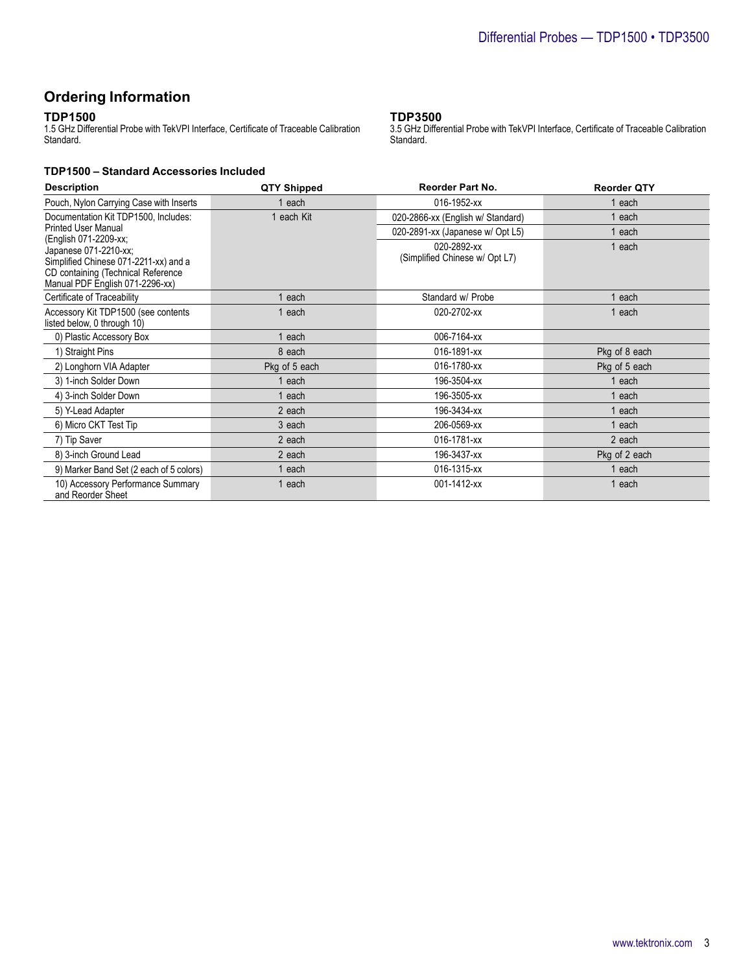## **Ordering Information**

#### **TDP1500**

1.5 GHz Differential Probe with TekVPI Interface, Certificate of Traceable Calibration Standard.

#### **TDP1500 – Standard Accessories Included**

#### **TDP3500**

3.5 GHz Differential Probe with TekVPI Interface, Certificate of Traceable Calibration Standard.

| <b>Description</b>                                                    | QTY Shipped   | <b>Reorder Part No.</b>           | <b>Reorder QTY</b> |
|-----------------------------------------------------------------------|---------------|-----------------------------------|--------------------|
| Pouch, Nylon Carrying Case with Inserts                               | 1 each        | 016-1952-xx                       | each               |
| Documentation Kit TDP1500, Includes:                                  | 1 each Kit    | 020-2866-xx (English w/ Standard) | 1 each             |
| <b>Printed User Manual</b>                                            |               | 020-2891-xx (Japanese w/ Opt L5)  | 1 each             |
| (English 071-2209-xx;<br>Japanese 071-2210-xx;                        |               | 020-2892-xx                       | 1 each             |
| Simplified Chinese 071-2211-xx) and a                                 |               | (Simplified Chinese w/ Opt L7)    |                    |
| CD containing (Technical Reference<br>Manual PDF English 071-2296-xx) |               |                                   |                    |
| Certificate of Traceability                                           | each          | Standard w/ Probe                 | each               |
| Accessory Kit TDP1500 (see contents<br>listed below, 0 through 10)    | 1 each        | 020-2702-xx                       | 1 each             |
| 0) Plastic Accessory Box                                              | 1 each        | 006-7164-xx                       |                    |
| 1) Straight Pins                                                      | 8 each        | 016-1891-xx                       | Pkg of 8 each      |
| 2) Longhorn VIA Adapter                                               | Pkg of 5 each | 016-1780-xx                       | Pkg of 5 each      |
| 3) 1-inch Solder Down                                                 | 1 each        | 196-3504-xx                       | 1 each             |
| 4) 3-inch Solder Down                                                 | 1 each        | 196-3505-xx                       | each               |
| 5) Y-Lead Adapter                                                     | 2 each        | 196-3434-xx                       | 1 each             |
| 6) Micro CKT Test Tip                                                 | 3 each        | 206-0569-xx                       | 1 each             |
| 7) Tip Saver                                                          | 2 each        | 016-1781-xx                       | 2 each             |
| 8) 3-inch Ground Lead                                                 | 2 each        | 196-3437-xx                       | Pkg of 2 each      |
| 9) Marker Band Set (2 each of 5 colors)                               | each          | 016-1315-xx                       | 1 each             |
| 10) Accessory Performance Summary<br>and Reorder Sheet                | each          | 001-1412-xx                       | 1 each             |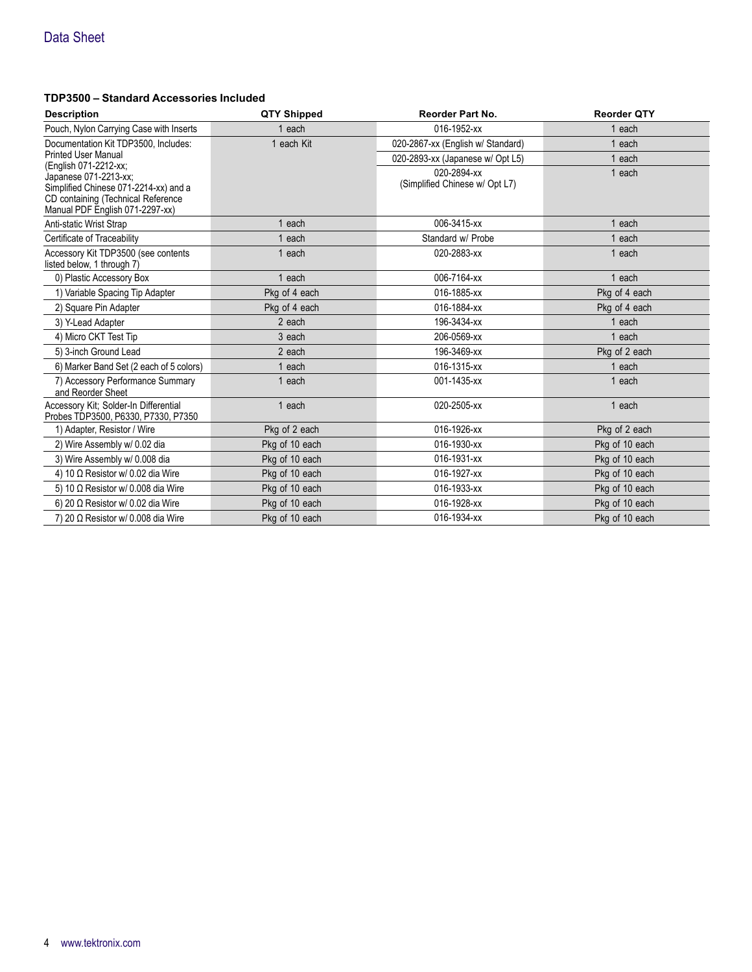#### **TDP3500 – Standard Accessories Included**

| <b>Description</b>                                                                                                                                               | <b>QTY Shipped</b> | <b>Reorder Part No.</b>                       | <b>Reorder QTY</b> |
|------------------------------------------------------------------------------------------------------------------------------------------------------------------|--------------------|-----------------------------------------------|--------------------|
| Pouch, Nylon Carrying Case with Inserts                                                                                                                          | 1 each             | 016-1952-xx                                   | 1 each             |
| Documentation Kit TDP3500, Includes:                                                                                                                             | 1 each Kit         | 020-2867-xx (English w/ Standard)             | each               |
| <b>Printed User Manual</b>                                                                                                                                       |                    | 020-2893-xx (Japanese w/ Opt L5)              | each               |
| (English 071-2212-xx;<br>Japanese 071-2213-xx;<br>Simplified Chinese 071-2214-xx) and a<br>CD containing (Technical Reference<br>Manual PDF English 071-2297-xx) |                    | 020-2894-xx<br>(Simplified Chinese w/ Opt L7) | 1 each             |
| Anti-static Wrist Strap                                                                                                                                          | each               | 006-3415-xx                                   | each               |
| Certificate of Traceability                                                                                                                                      | each               | Standard w/ Probe                             | each               |
| Accessory Kit TDP3500 (see contents<br>listed below, 1 through 7)                                                                                                | 1 each             | 020-2883-xx                                   | 1 each             |
| 0) Plastic Accessory Box                                                                                                                                         | 1 each             | 006-7164-xx                                   | each               |
| 1) Variable Spacing Tip Adapter                                                                                                                                  | Pkg of 4 each      | 016-1885-xx                                   | Pkg of 4 each      |
| 2) Square Pin Adapter                                                                                                                                            | Pkg of 4 each      | 016-1884-xx                                   | Pkg of 4 each      |
| 3) Y-Lead Adapter                                                                                                                                                | 2 each             | 196-3434-xx                                   | each               |
| 4) Micro CKT Test Tip                                                                                                                                            | 3 each             | 206-0569-xx                                   | each               |
| 5) 3-inch Ground Lead                                                                                                                                            | 2 each             | 196-3469-xx                                   | Pkg of 2 each      |
| 6) Marker Band Set (2 each of 5 colors)                                                                                                                          | each               | 016-1315-xx                                   | each               |
| 7) Accessory Performance Summary<br>and Reorder Sheet                                                                                                            | 1 each             | 001-1435-xx                                   | 1 each             |
| Accessory Kit; Solder-In Differential<br>Probes TDP3500, P6330, P7330, P7350                                                                                     | 1 each             | 020-2505-xx                                   | 1 each             |
| 1) Adapter, Resistor / Wire                                                                                                                                      | Pkg of 2 each      | 016-1926-xx                                   | Pkg of 2 each      |
| 2) Wire Assembly w/ 0.02 dia                                                                                                                                     | Pkg of 10 each     | 016-1930-xx                                   | Pkg of 10 each     |
| 3) Wire Assembly w/ 0.008 dia                                                                                                                                    | Pkg of 10 each     | 016-1931-xx                                   | Pkg of 10 each     |
| 4) 10 $\Omega$ Resistor w/ 0.02 dia Wire                                                                                                                         | Pkg of 10 each     | 016-1927-xx                                   | Pkg of 10 each     |
| 5) 10 $\Omega$ Resistor w/ 0.008 dia Wire                                                                                                                        | Pkg of 10 each     | 016-1933-xx                                   | Pkg of 10 each     |
| 6) 20 $\Omega$ Resistor w/ 0.02 dia Wire                                                                                                                         | Pkg of 10 each     | 016-1928-xx                                   | Pkg of 10 each     |
| 7) 20 $\Omega$ Resistor w/ 0.008 dia Wire                                                                                                                        | Pkg of 10 each     | 016-1934-xx                                   | Pkg of 10 each     |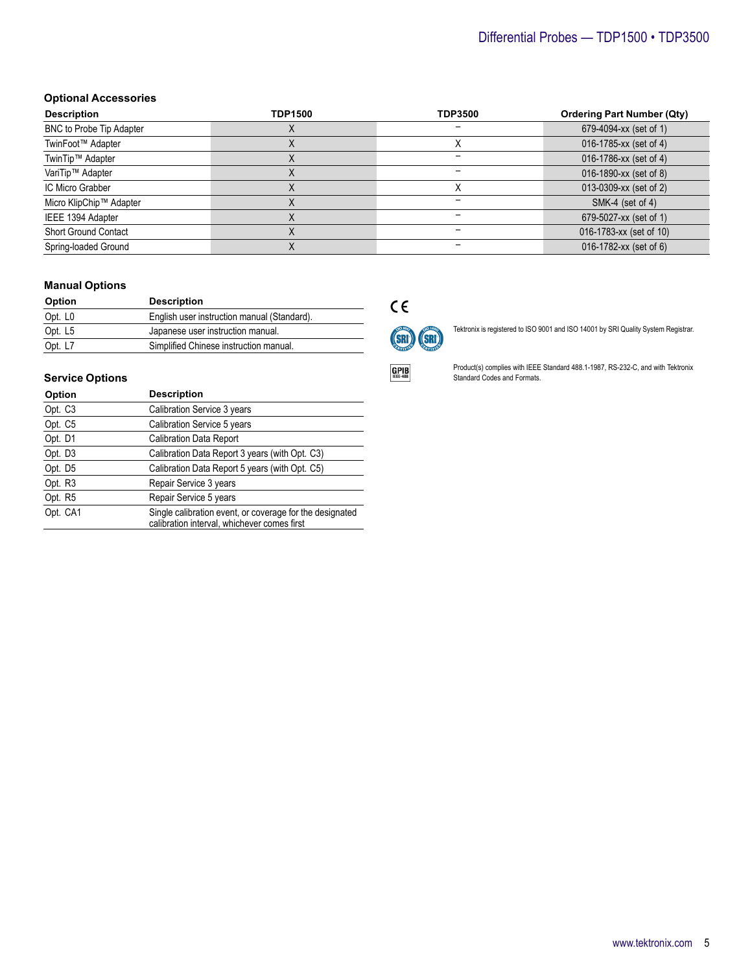## Differential Probes — TDP1500 • TDP3500

#### **Optional Accessories**

| <b>Description</b>          | <b>TDP1500</b> | <b>TDP3500</b> | <b>Ordering Part Number (Qty)</b> |
|-----------------------------|----------------|----------------|-----------------------------------|
| BNC to Probe Tip Adapter    |                |                | 679-4094-xx (set of 1)            |
| TwinFoot™ Adapter           |                |                | 016-1785-xx (set of 4)            |
| TwinTip™ Adapter            |                |                | 016-1786-xx (set of 4)            |
| VariTip™ Adapter            |                |                | 016-1890-xx (set of 8)            |
| IC Micro Grabber            |                |                | 013-0309-xx (set of 2)            |
| Micro KlipChip™ Adapter     |                |                | SMK-4 (set of 4)                  |
| IEEE 1394 Adapter           |                |                | 679-5027-xx (set of 1)            |
| <b>Short Ground Contact</b> |                |                | 016-1783-xx (set of 10)           |
| Spring-loaded Ground        |                |                | 016-1782-xx (set of 6)            |

#### **Manual Options**

| <b>Option</b> | <b>Description</b>                          |
|---------------|---------------------------------------------|
| Opt. L0       | English user instruction manual (Standard). |
| Opt. L5       | Japanese user instruction manual.           |
| Opt. L7       | Simplified Chinese instruction manual.      |

#### **Service Options**

| Option              | <b>Description</b>                                                                                      |
|---------------------|---------------------------------------------------------------------------------------------------------|
| Opt. C <sub>3</sub> | Calibration Service 3 years                                                                             |
| Opt. C5             | Calibration Service 5 years                                                                             |
| Opt. D1             | <b>Calibration Data Report</b>                                                                          |
| Opt. D3             | Calibration Data Report 3 years (with Opt. C3)                                                          |
| Opt. D5             | Calibration Data Report 5 years (with Opt. C5)                                                          |
| Opt. R3             | Repair Service 3 years                                                                                  |
| Opt. R5             | Repair Service 5 years                                                                                  |
| Opt. CA1            | Single calibration event, or coverage for the designated<br>calibration interval, whichever comes first |

## $C \in$



Tektronix is registered to ISO 9001 and ISO 14001 by SRI Quality System Registrar.



Product(s) complies with IEEE Standard 488.1-1987, RS-232-C, and with Tektronix Standard Codes and Formats.